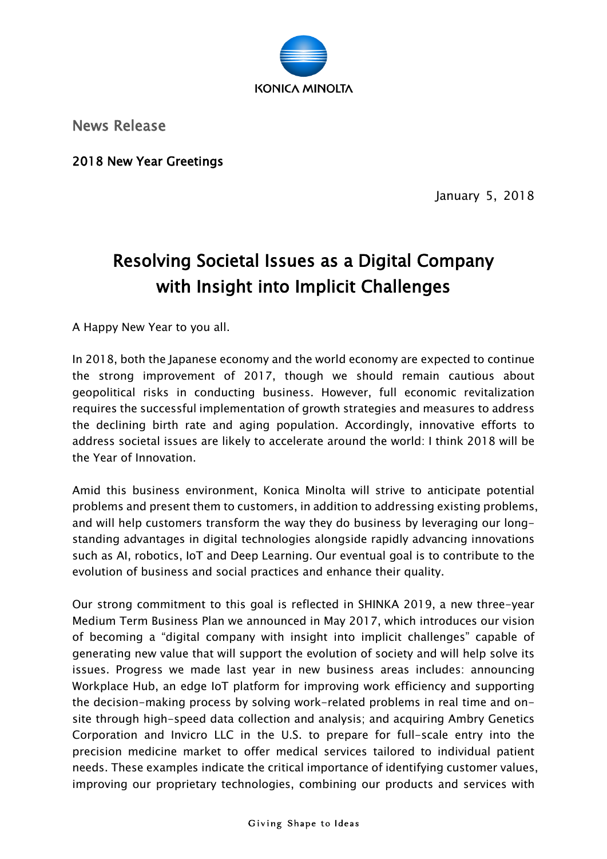

News Release

2018 New Year Greetings

January 5, 2018

## Resolving Societal Issues as a Digital Company with Insight into Implicit Challenges

A Happy New Year to you all.

In 2018, both the Japanese economy and the world economy are expected to continue the strong improvement of 2017, though we should remain cautious about geopolitical risks in conducting business. However, full economic revitalization requires the successful implementation of growth strategies and measures to address the declining birth rate and aging population. Accordingly, innovative efforts to address societal issues are likely to accelerate around the world: I think 2018 will be the Year of Innovation.

Amid this business environment, Konica Minolta will strive to anticipate potential problems and present them to customers, in addition to addressing existing problems, and will help customers transform the way they do business by leveraging our longstanding advantages in digital technologies alongside rapidly advancing innovations such as AI, robotics, IoT and Deep Learning. Our eventual goal is to contribute to the evolution of business and social practices and enhance their quality.

Our strong commitment to this goal is reflected in SHINKA 2019, a new three-year Medium Term Business Plan we announced in May 2017, which introduces our vision of becoming a "digital company with insight into implicit challenges" capable of generating new value that will support the evolution of society and will help solve its issues. Progress we made last year in new business areas includes: announcing Workplace Hub, an edge IoT platform for improving work efficiency and supporting the decision-making process by solving work-related problems in real time and onsite through high-speed data collection and analysis; and acquiring Ambry Genetics Corporation and Invicro LLC in the U.S. to prepare for full-scale entry into the precision medicine market to offer medical services tailored to individual patient needs. These examples indicate the critical importance of identifying customer values, improving our proprietary technologies, combining our products and services with